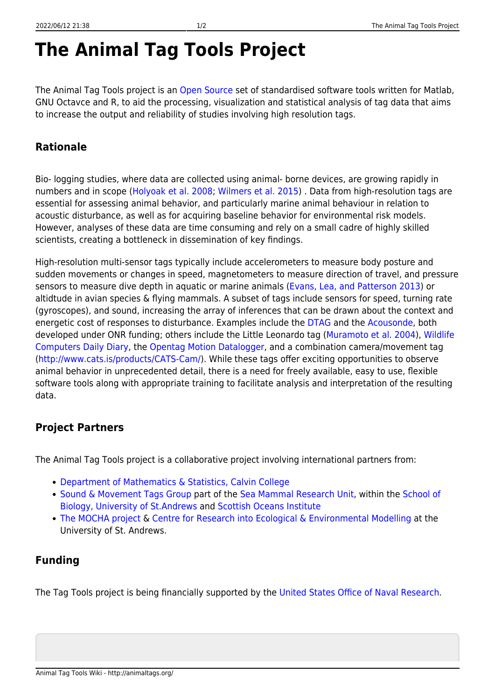## **The Animal Tag Tools Project**

The Animal Tag Tools project is an [Open Source](https://opensource.org/) set of standardised software tools written for Matlab, GNU Octavce and R, to aid the processing, visualization and statistical analysis of tag data that aims to increase the output and reliability of studies involving high resolution tags.

## **Rationale**

Bio- logging studies, where data are collected using animal- borne devices, are growing rapidly in numbers and in scope [\(Holyoak et al. 2008;](http://www.pnas.org/content/105/49/19060.full) [Wilmers et al. 2015](http://onlinelibrary.wiley.com/doi/10.1890/14-1401.1/abstract)) . Data from high-resolution tags are essential for assessing animal behavior, and particularly marine animal behaviour in relation to acoustic disturbance, as well as for acquiring baseline behavior for environmental risk models. However, analyses of these data are time consuming and rely on a small cadre of highly skilled scientists, creating a bottleneck in dissemination of key findings.

High-resolution multi-sensor tags typically include accelerometers to measure body posture and sudden movements or changes in speed, magnetometers to measure direction of travel, and pressure sensors to measure dive depth in aquatic or marine animals [\(Evans, Lea, and Patterson 2013\)](http://www.sciencedirect.com/science/article/pii/S0967064512001865) or altidtude in avian species & flying mammals. A subset of tags include sensors for speed, turning rate (gyroscopes), and sound, increasing the array of inferences that can be drawn about the context and energetic cost of responses to disturbance. Examples include the [DTAG](http://www.soundtags.org/DTAG) and the [Acousonde,](http://www.acousonde.com/) both developed under ONR funding; others include the Little Leonardo tag ([Muramoto et al. 2004\)](http://ci.nii.ac.jp/els/contentscinii_20170726235746.pdf?id=ART0000332146), [Wildlife](http://wildlifecomputers.com/products/daily_diary) [Computers Daily Diary,](http://wildlifecomputers.com/products/daily_diary) the [Opentag Motion Datalogger,](http://www.loggerhead.com/opentag-motion-datalogger/) and a combination camera/movement tag [\(http://www.cats.is/products/CATS-Cam/](http://www.cats.is/products/CATS-Cam/)). While these tags offer exciting opportunities to observe animal behavior in unprecedented detail, there is a need for freely available, easy to use, flexible software tools along with appropriate training to facilitate analysis and interpretation of the resulting data.

## **Project Partners**

The Animal Tag Tools project is a collaborative project involving international partners from:

- [Department of Mathematics & Statistics, Calvin College](https://calvin.edu/academics/departments-programs/mathematics-statistics/)
- [Sound & Movement Tags Group](https://www.soundtags.org/) part of the [Sea Mammal Research Unit,](http://www.smru.st-andrews.ac.uk/) within the [School of](http://biology.st-andrews.ac.uk/) [Biology, University of St.Andrews](http://biology.st-andrews.ac.uk/) and [Scottish Oceans Institute](http://soi.st-andrews.ac.uk/)
- [The MOCHA project](https://synergy.st-andrews.ac.uk/mocha/) & [Centre for Research into Ecological & Environmental Modelling](https://creem2.st-andrews.ac.uk/) at the University of St. Andrews.

## **Funding**

The Tag Tools project is being financially supported by the [United States Office of Naval Research](https://www.onr.navy.mil/).